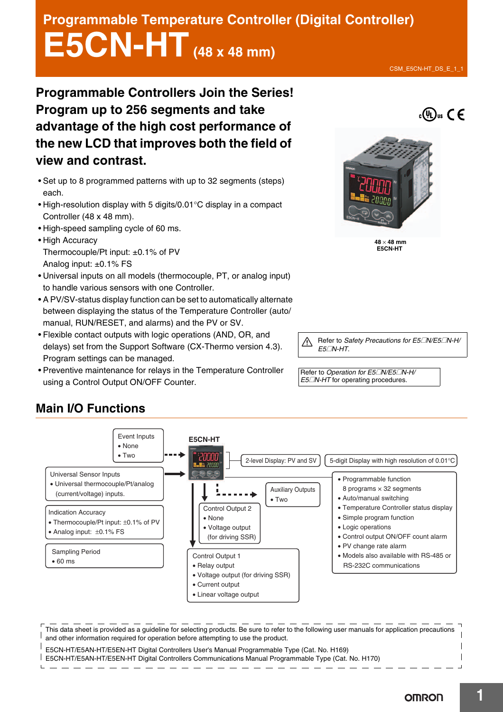# **Programmable Temperature Controller (Digital Controller) E5CN-HT (48 x 48 mm)**

**Programmable Controllers Join the Series! Program up to 256 segments and take advantage of the high cost performance of the new LCD that improves both the field of view and contrast.** 

- Set up to 8 programmed patterns with up to 32 segments (steps) each.
- High-resolution display with 5 digits/0.01°C display in a compact Controller (48 x 48 mm).
- High-speed sampling cycle of 60 ms.
- High Accuracy Thermocouple/Pt input: ±0.1% of PV Analog input: ±0.1% FS
- Universal inputs on all models (thermocouple, PT, or analog input) to handle various sensors with one Controller.
- A PV/SV-status display function can be set to automatically alternate between displaying the status of the Temperature Controller (auto/ manual, RUN/RESET, and alarms) and the PV or SV.
- Flexible contact outputs with logic operations (AND, OR, and delays) set from the Support Software (CX-Thermo version 4.3). Program settings can be managed.
- Preventive maintenance for relays in the Temperature Controller using a Control Output ON/OFF Counter.

Refer to *Safety Precautions for E5*@*N/E5*@*N-H/ E5*@*N-HT*.

Refer to *Operation for E5*@*N/E5*@*N-H/ E5*@*N-HT* for operating procedures.



This data sheet is provided as a guideline for selecting products. Be sure to refer to the following user manuals for application precautions and other information required for operation before attempting to use the product.

E5CN-HT/E5AN-HT/E5EN-HT Digital Controllers User's Manual Programmable Type (Cat. No. H169) E5CN-HT/E5AN-HT/E5EN-HT Digital Controllers Communications Manual Programmable Type (Cat. No. H170)

# **Main I/O Functions**





 $48 \times 48$  mm **E5CN-HT**

**OMRON**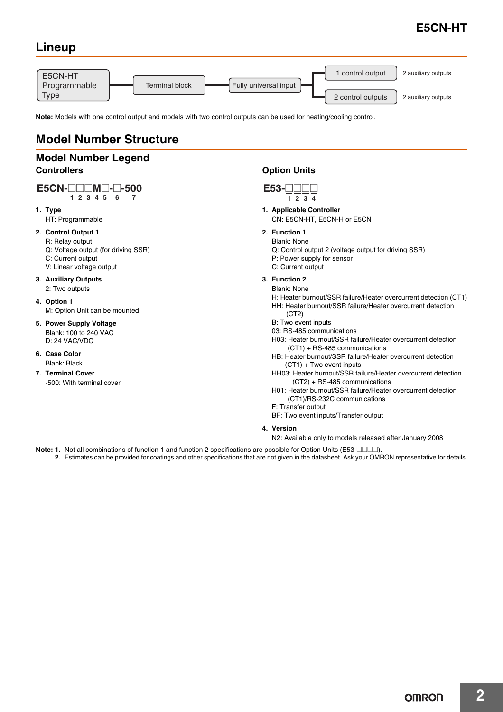## **Lineup**



**Note:** Models with one control output and models with two control outputs can be used for heating/cooling control.

## **Model Number Structure**

## **Model Number Legend Controllers**

#### $1\ 2\ 3\ 4\ 5\ 6\ 7$ **E5CN-**@@@**M**@**-**@**-500**

**1. Type**

HT: Programmable

#### **2. Control Output 1**

- R: Relay output
- Q: Voltage output (for driving SSR) C: Current output
- V: Linear voltage output
- 
- **3. Auxiliary Outputs** 2: Two outputs
- **4. Option 1**
	- M: Option Unit can be mounted.
- **5. Power Supply Voltage**  Blank: 100 to 240 VAC D: 24 VAC/VDC
- **6. Case Color** Blank: Black
- **7. Terminal Cover** -500: With terminal cover

## **Option Units**

- **1. Applicable Controller**
	- CN: E5CN-HT, E5CN-H or E5CN
- **2. Function 1**
- Blank: None
	- Q: Control output 2 (voltage output for driving SSR)
	- P: Power supply for sensor
- C: Current output
- **3. Function 2**
- Blank: None

H: Heater burnout/SSR failure/Heater overcurrent detection (CT1) HH: Heater burnout/SSR failure/Heater overcurrent detection  $(CT2)$ 

- B: Two event inputs
- 03: RS-485 communications
- H03: Heater burnout/SSR failure/Heater overcurrent detection (CT1) + RS-485 communications
- HB: Heater burnout/SSR failure/Heater overcurrent detection (CT1) + Two event inputs
- HH03: Heater burnout/SSR failure/Heater overcurrent detection (CT2) + RS-485 communications
- H01: Heater burnout/SSR failure/Heater overcurrent detection (CT1)/RS-232C communications
- F: Transfer output
- BF: Two event inputs/Transfer output
- **4. Version**
	- N2: Available only to models released after January 2008
- **Note: 1.** Not all combinations of function 1 and function 2 specifications are possible for Option Units (E53- $\Box$  $\Box$ ).
	- **2.** Estimates can be provided for coatings and other specifications that are not given in the datasheet. Ask your OMRON representative for details.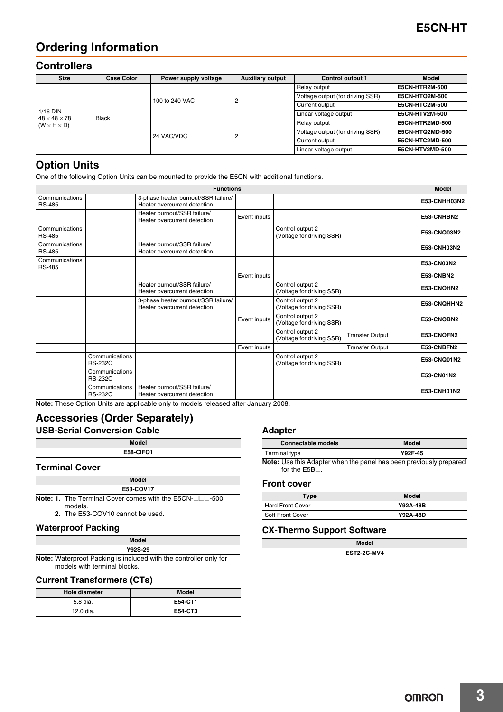## **Ordering Information**

## **Controllers**

| <b>Size</b>                                         | <b>Case Color</b> | Power supply voltage | <b>Auxiliary output</b> | <b>Control output 1</b>          | <b>Model</b>          |  |  |
|-----------------------------------------------------|-------------------|----------------------|-------------------------|----------------------------------|-----------------------|--|--|
| $1/16$ DIN                                          |                   |                      |                         | Relay output                     | E5CN-HTR2M-500        |  |  |
|                                                     |                   | 100 to 240 VAC       |                         | Voltage output (for driving SSR) | <b>E5CN-HTQ2M-500</b> |  |  |
|                                                     |                   |                      |                         | Current output                   | <b>E5CN-HTC2M-500</b> |  |  |
|                                                     | Black             |                      |                         | Linear voltage output            | <b>E5CN-HTV2M-500</b> |  |  |
| $48 \times 48 \times 78$<br>$(W \times H \times D)$ |                   |                      |                         | Relay output                     | E5CN-HTR2MD-500       |  |  |
|                                                     |                   | 24 VAC/VDC           | っ                       | Voltage output (for driving SSR) | E5CN-HTQ2MD-500       |  |  |
|                                                     |                   |                      |                         | Current output                   | E5CN-HTC2MD-500       |  |  |
|                                                     |                   |                      |                         | Linear voltage output            | E5CN-HTV2MD-500       |  |  |

## **Option Units**

One of the following Option Units can be mounted to provide the E5CN with additional functions.

|                                 |                                  | <b>Functions</b>                                                    |              |                                               |                        | <b>Model</b> |
|---------------------------------|----------------------------------|---------------------------------------------------------------------|--------------|-----------------------------------------------|------------------------|--------------|
| Communications<br><b>RS-485</b> |                                  | 3-phase heater burnout/SSR failure/<br>Heater overcurrent detection |              |                                               |                        | E53-CNHH03N2 |
|                                 |                                  | Heater burnout/SSR failure/<br>Heater overcurrent detection         | Event inputs |                                               |                        | E53-CNHBN2   |
| Communications<br><b>RS-485</b> |                                  |                                                                     |              | Control output 2<br>(Voltage for driving SSR) |                        | E53-CNQ03N2  |
| Communications<br><b>RS-485</b> |                                  | Heater burnout/SSR failure/<br>Heater overcurrent detection         |              |                                               |                        | E53-CNH03N2  |
| Communications<br><b>RS-485</b> |                                  |                                                                     |              |                                               |                        | E53-CN03N2   |
|                                 |                                  |                                                                     | Event inputs |                                               |                        | E53-CNBN2    |
|                                 |                                  | Heater burnout/SSR failure/<br>Heater overcurrent detection         |              | Control output 2<br>(Voltage for driving SSR) |                        | E53-CNOHN2   |
|                                 |                                  | 3-phase heater burnout/SSR failure/<br>Heater overcurrent detection |              | Control output 2<br>(Voltage for driving SSR) |                        | E53-CNQHHN2  |
|                                 |                                  |                                                                     | Event inputs | Control output 2<br>(Voltage for driving SSR) |                        | E53-CNOBN2   |
|                                 |                                  |                                                                     |              | Control output 2<br>(Voltage for driving SSR) | <b>Transfer Output</b> | E53-CNOFN2   |
|                                 |                                  |                                                                     | Event inputs |                                               | <b>Transfer Output</b> | E53-CNBFN2   |
|                                 | Communications<br><b>RS-232C</b> |                                                                     |              | Control output 2<br>(Voltage for driving SSR) |                        | E53-CNQ01N2  |
|                                 | Communications<br><b>RS-232C</b> |                                                                     |              |                                               |                        | E53-CN01N2   |
|                                 | Communications<br><b>RS-232C</b> | Heater burnout/SSR failure/<br>Heater overcurrent detection         |              |                                               |                        | E53-CNH01N2  |

**Note:** These Option Units are applicable only to models released after January 2008.

### **Accessories (Order Separately) USB-Serial Conversion Cable**

| <b>Model</b> |  |
|--------------|--|
| E58-CIFQ1    |  |
|              |  |

**Terminal Cover**

| Model                                                                      |
|----------------------------------------------------------------------------|
| E53-COV17                                                                  |
| <b>Note: 1.</b> The Terminal Cover comes with the E5CN- $\Box$ $\Box$ -500 |

models. **2.** The E53-COV10 cannot be used.

#### **Waterproof Packing**

| Model                                           |  |
|-------------------------------------------------|--|
| Y92S-29                                         |  |
| acking is included with the controller only for |  |

**Note:** Waterproof Packing is included with the controller only for models with terminal blocks.

#### **Current Transformers (CTs)**

| <b>Hole diameter</b> | <b>Model</b> |
|----------------------|--------------|
| 5.8 dia.             | E54-CT1      |
| 12.0 dia.            | E54-CT3      |

#### **Adapter**

| <b>Connectable models</b> | Model   |
|---------------------------|---------|
| Terminal type             | Y92F-45 |

**Note:** Use this Adapter when the panel has been previously prepared for the  $E5B\square$ .

#### **Front cover**

| Type                    | Model           |
|-------------------------|-----------------|
| <b>Hard Front Cover</b> | <b>Y92A-48B</b> |
| Soft Front Cover        | Y92A-48D        |

#### **CX-Thermo Support Software**

| <b>Model</b>       |  |
|--------------------|--|
| <b>EST2-2C-MV4</b> |  |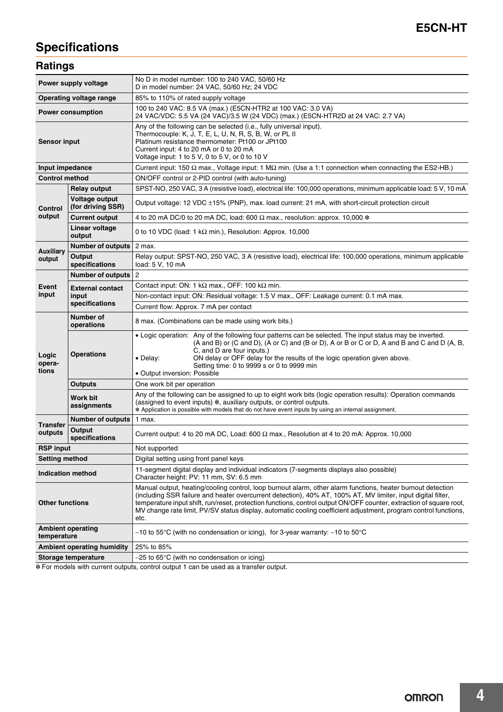# **Specifications**

## **Ratings**

| Power supply voltage                    |                                     | No D in model number: 100 to 240 VAC, 50/60 Hz<br>D in model number: 24 VAC, 50/60 Hz; 24 VDC                                                                                                                                                                                                                                                                                                                                                                                  |  |  |  |  |  |  |  |  |
|-----------------------------------------|-------------------------------------|--------------------------------------------------------------------------------------------------------------------------------------------------------------------------------------------------------------------------------------------------------------------------------------------------------------------------------------------------------------------------------------------------------------------------------------------------------------------------------|--|--|--|--|--|--|--|--|
|                                         | Operating voltage range             | 85% to 110% of rated supply voltage                                                                                                                                                                                                                                                                                                                                                                                                                                            |  |  |  |  |  |  |  |  |
|                                         | <b>Power consumption</b>            | 100 to 240 VAC: 8.5 VA (max.) (E5CN-HTR2 at 100 VAC: 3.0 VA)<br>24 VAC/VDC: 5.5 VA (24 VAC)/3.5 W (24 VDC) (max.) (E5CN-HTR2D at 24 VAC: 2.7 VA)                                                                                                                                                                                                                                                                                                                               |  |  |  |  |  |  |  |  |
| <b>Sensor input</b>                     |                                     | Any of the following can be selected (i.e., fully universal input).<br>Thermocouple: K, J, T, E, L, U, N, R, S, B, W, or PL II<br>Platinum resistance thermometer: Pt100 or JPt100<br>Current input: 4 to 20 mA or 0 to 20 mA<br>Voltage input: 1 to 5 V, 0 to 5 V, or 0 to 10 V                                                                                                                                                                                               |  |  |  |  |  |  |  |  |
| Input impedance                         |                                     | Current input: 150 $\Omega$ max., Voltage input: 1 M $\Omega$ min. (Use a 1:1 connection when connecting the ES2-HB.)                                                                                                                                                                                                                                                                                                                                                          |  |  |  |  |  |  |  |  |
| <b>Control method</b>                   |                                     | ON/OFF control or 2-PID control (with auto-tuning)                                                                                                                                                                                                                                                                                                                                                                                                                             |  |  |  |  |  |  |  |  |
|                                         | <b>Relay output</b>                 | SPST-NO, 250 VAC, 3 A (resistive load), electrical life: 100,000 operations, minimum applicable load: 5 V, 10 mA                                                                                                                                                                                                                                                                                                                                                               |  |  |  |  |  |  |  |  |
| <b>Control</b>                          | Voltage output<br>(for driving SSR) | Output voltage: 12 VDC ±15% (PNP), max. load current: 21 mA, with short-circuit protection circuit                                                                                                                                                                                                                                                                                                                                                                             |  |  |  |  |  |  |  |  |
| output                                  | <b>Current output</b>               | 4 to 20 mA DC/0 to 20 mA DC, load: 600 $\Omega$ max., resolution: approx. 10,000 *                                                                                                                                                                                                                                                                                                                                                                                             |  |  |  |  |  |  |  |  |
|                                         | Linear voltage<br>output            | 0 to 10 VDC (load: 1 k $\Omega$ min.), Resolution: Approx. 10,000                                                                                                                                                                                                                                                                                                                                                                                                              |  |  |  |  |  |  |  |  |
| <b>Auxiliary</b>                        | <b>Number of outputs</b>            | 2 max.                                                                                                                                                                                                                                                                                                                                                                                                                                                                         |  |  |  |  |  |  |  |  |
| Output<br>output<br>specifications      |                                     | Relay output: SPST-NO, 250 VAC, 3 A (resistive load), electrical life: 100,000 operations, minimum applicable<br>load: 5 V, 10 mA                                                                                                                                                                                                                                                                                                                                              |  |  |  |  |  |  |  |  |
|                                         | <b>Number of outputs</b>            | 2                                                                                                                                                                                                                                                                                                                                                                                                                                                                              |  |  |  |  |  |  |  |  |
| Event                                   | <b>External contact</b>             | Contact input: ON: 1 k $\Omega$ max., OFF: 100 k $\Omega$ min.                                                                                                                                                                                                                                                                                                                                                                                                                 |  |  |  |  |  |  |  |  |
| input                                   | input                               | Non-contact input: ON: Residual voltage: 1.5 V max., OFF: Leakage current: 0.1 mA max.                                                                                                                                                                                                                                                                                                                                                                                         |  |  |  |  |  |  |  |  |
|                                         | specifications                      | Current flow: Approx. 7 mA per contact                                                                                                                                                                                                                                                                                                                                                                                                                                         |  |  |  |  |  |  |  |  |
|                                         | Number of<br>operations             | 8 max. (Combinations can be made using work bits.)                                                                                                                                                                                                                                                                                                                                                                                                                             |  |  |  |  |  |  |  |  |
| Logic<br>opera-<br>tions                | <b>Operations</b>                   | • Logic operation: Any of the following four patterns can be selected. The input status may be inverted.<br>(A and B) or (C and D), (A or C) and (B or D), A or B or C or D, A and B and C and D (A, B,<br>C, and D are four inputs.)<br>ON delay or OFF delay for the results of the logic operation given above.<br>• Delay:<br>Setting time: 0 to 9999 s or 0 to 9999 min<br>• Output inversion: Possible                                                                   |  |  |  |  |  |  |  |  |
|                                         | <b>Outputs</b>                      | One work bit per operation                                                                                                                                                                                                                                                                                                                                                                                                                                                     |  |  |  |  |  |  |  |  |
|                                         | Work bit<br>assignments             | Any of the following can be assigned to up to eight work bits (logic operation results): Operation commands<br>(assigned to event inputs) *, auxiliary outputs, or control outputs.<br>* Application is possible with models that do not have event inputs by using an internal assignment.                                                                                                                                                                                    |  |  |  |  |  |  |  |  |
|                                         | <b>Number of outputs</b>            | 1 max.                                                                                                                                                                                                                                                                                                                                                                                                                                                                         |  |  |  |  |  |  |  |  |
| <b>Transfer</b><br>outputs              | Output<br>specifications            | Current output: 4 to 20 mA DC, Load: 600 $\Omega$ max., Resolution at 4 to 20 mA: Approx. 10,000                                                                                                                                                                                                                                                                                                                                                                               |  |  |  |  |  |  |  |  |
| <b>RSP input</b>                        |                                     | Not supported                                                                                                                                                                                                                                                                                                                                                                                                                                                                  |  |  |  |  |  |  |  |  |
| Setting method                          |                                     | Digital setting using front panel keys                                                                                                                                                                                                                                                                                                                                                                                                                                         |  |  |  |  |  |  |  |  |
| <b>Indication method</b>                |                                     | 11-segment digital display and individual indicators (7-segments displays also possible)<br>Character height: PV: 11 mm, SV: 6.5 mm                                                                                                                                                                                                                                                                                                                                            |  |  |  |  |  |  |  |  |
| <b>Other functions</b>                  |                                     | Manual output, heating/cooling control, loop burnout alarm, other alarm functions, heater burnout detection<br>(including SSR failure and heater overcurrent detection), 40% AT, 100% AT, MV limiter, input digital filter,<br>temperature input shift, run/reset, protection functions, control output ON/OFF counter, extraction of square root,<br>MV change rate limit, PV/SV status display, automatic cooling coefficient adjustment, program control functions,<br>etc. |  |  |  |  |  |  |  |  |
| <b>Ambient operating</b><br>temperature |                                     | $-10$ to 55°C (with no condensation or icing), for 3-year warranty: $-10$ to 50°C                                                                                                                                                                                                                                                                                                                                                                                              |  |  |  |  |  |  |  |  |
|                                         | <b>Ambient operating humidity</b>   | 25% to 85%                                                                                                                                                                                                                                                                                                                                                                                                                                                                     |  |  |  |  |  |  |  |  |
|                                         | <b>Storage temperature</b>          | $-25$ to 65 $\degree$ C (with no condensation or icing)                                                                                                                                                                                                                                                                                                                                                                                                                        |  |  |  |  |  |  |  |  |

\* For models with current outputs, control output 1 can be used as a transfer output.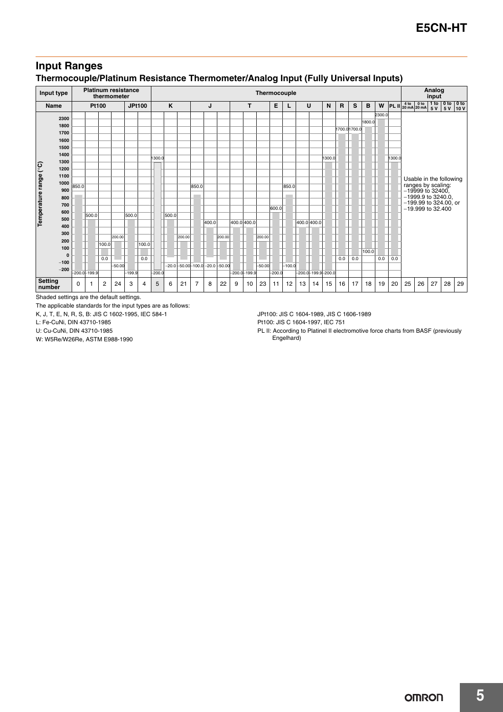## **Input Ranges Thermocouple/Platinum Resistance Thermometer/Analog Input (Fully Universal Inputs)**

| Input type             |             |       | <b>Platinum resistance</b> |       | thermometer |               |       |          | Thermocouple |                         |                |       |                 |             |                  |          |          |          |             |                          |        |              | Analog<br>input |        |        |        |    |                                                                |                  |     |                        |
|------------------------|-------------|-------|----------------------------|-------|-------------|---------------|-------|----------|--------------|-------------------------|----------------|-------|-----------------|-------------|------------------|----------|----------|----------|-------------|--------------------------|--------|--------------|-----------------|--------|--------|--------|----|----------------------------------------------------------------|------------------|-----|------------------------|
| <b>Name</b>            |             |       | Pt100                      |       |             | <b>JPt100</b> |       |          | K            |                         |                | J     |                 |             | т                |          | Е        | $\cup$   |             |                          | N      | $\mathbf{R}$ | S               | B      | W      |        |    | PL II $\frac{4 \text{ to } 0 \text{ to}}{20 \text{ mA}}$ 20 mA | 1 to 0 to<br>5 V | 5 V | 0 <sub>to</sub><br>10V |
|                        | 2300        |       |                            |       |             |               |       |          |              |                         |                |       |                 |             |                  |          |          |          |             |                          |        |              |                 |        | 2300.0 |        |    |                                                                |                  |     |                        |
|                        | 1800        |       |                            |       |             |               |       |          |              |                         |                |       |                 |             |                  |          |          |          |             |                          |        |              |                 | 1800.0 |        |        |    |                                                                |                  |     |                        |
|                        | 1700        |       |                            |       |             |               |       |          |              |                         |                |       |                 |             |                  |          |          |          |             |                          |        |              | 1700.01700.0    |        |        |        |    |                                                                |                  |     |                        |
|                        | 1600        |       |                            |       |             |               |       |          |              |                         |                |       |                 |             |                  |          |          |          |             |                          |        |              |                 |        |        |        |    |                                                                |                  |     |                        |
|                        | 1500        |       |                            |       |             |               |       |          |              |                         |                |       |                 |             |                  |          |          |          |             |                          |        |              |                 |        |        |        |    |                                                                |                  |     |                        |
|                        | 1400        |       |                            |       |             |               |       | 1300.0   |              |                         |                |       |                 |             |                  |          |          |          |             |                          | 1300.0 |              |                 |        |        | 1300.0 |    |                                                                |                  |     |                        |
|                        | 1300        |       |                            |       |             |               |       |          |              |                         |                |       |                 |             |                  |          |          |          |             |                          |        |              |                 |        |        |        |    |                                                                |                  |     |                        |
|                        | 1200        |       |                            |       |             |               |       |          |              |                         |                |       |                 |             |                  |          |          |          |             |                          |        |              |                 |        |        |        |    |                                                                |                  |     |                        |
|                        | 1100        |       |                            |       |             |               |       |          |              |                         |                |       |                 |             |                  |          |          |          |             |                          |        |              |                 |        |        |        |    | Usable in the following                                        |                  |     |                        |
| Temperature range (°C) | 1000        | 850.0 |                            |       |             |               |       |          |              |                         | 850.0          |       |                 |             |                  |          |          | 850.0    |             |                          |        |              |                 |        |        |        |    | ranges by scaling:<br>-19999 to 32400,                         |                  |     |                        |
|                        | 900         |       |                            |       |             |               |       |          |              |                         |                |       |                 |             |                  |          |          |          |             |                          |        |              |                 |        |        |        |    | -1999.9 to 3240.0,                                             |                  |     |                        |
|                        | 800<br>700  |       |                            |       |             |               |       |          |              |                         |                |       |                 |             |                  |          |          |          |             |                          |        |              |                 |        |        |        |    | -199.99 to 324.00, or                                          |                  |     |                        |
|                        | 600         |       |                            |       |             |               |       |          |              |                         |                |       |                 |             |                  |          | 600.0    |          |             |                          |        |              |                 |        |        |        |    | -19.999 to 32.400                                              |                  |     |                        |
|                        | 500         |       | 500.0                      |       |             | 500.0         |       |          | 500.0        |                         |                |       |                 |             |                  |          |          |          |             |                          |        |              |                 |        |        |        |    |                                                                |                  |     |                        |
|                        | 400         |       |                            |       |             |               |       |          |              |                         |                | 400.0 |                 | 400.0 400.0 |                  |          |          |          | 400.0 400.0 |                          |        |              |                 |        |        |        |    |                                                                |                  |     |                        |
|                        | 300         |       |                            |       |             |               |       |          |              |                         |                |       |                 |             |                  |          |          |          |             |                          |        |              |                 |        |        |        |    |                                                                |                  |     |                        |
|                        | 200         |       |                            |       | 200.00      |               |       |          |              | 200.00                  |                |       | 200.00          |             |                  | 200.00   |          |          |             |                          |        |              |                 |        |        |        |    |                                                                |                  |     |                        |
|                        | 100         |       |                            | 100.0 |             |               | 100.0 |          |              |                         |                |       |                 |             |                  |          |          |          |             |                          |        |              |                 |        |        |        |    |                                                                |                  |     |                        |
|                        | $\mathbf 0$ |       |                            | 0.0   |             |               | 0.0   |          |              |                         |                |       |                 |             |                  |          |          |          |             |                          |        | 0.0          | 0.0             | 100.0  | 0.0    | 0.0    |    |                                                                |                  |     |                        |
|                        | $-100$      |       |                            |       | $-50.00$    |               |       |          |              | $-20.0 - 50.00 - 100.0$ |                |       | $-20.0 - 50.00$ |             |                  | $-50.00$ |          | $-100.0$ |             |                          |        |              |                 |        |        |        |    |                                                                |                  |     |                        |
|                        | $-200$      |       | $-200.0 - 199.9$           |       |             | $-199.9$      |       | $-200.0$ |              |                         |                |       |                 |             | $-200.0 - 199.9$ |          | $-200.0$ |          |             | $-200.0 - 199.9 - 200.0$ |        |              |                 |        |        |        |    |                                                                |                  |     |                        |
| <b>Setting</b>         |             | 0     | 1                          | 2     | 24          | 3             | 4     | 5        | 6            | 21                      | $\overline{7}$ | 8     | 22              | 9           | 10               | 23       | 11       | 12       | 13          | 14                       | 15     | 16           | 17              | 18     | 19     | 20     | 25 | 26                                                             | 27               | 28  | 29                     |
| number                 |             |       |                            |       |             |               |       |          |              |                         |                |       |                 |             |                  |          |          |          |             |                          |        |              |                 |        |        |        |    |                                                                |                  |     |                        |

Shaded settings are the default settings.

The applicable standards for the input types are as follows:

K, J, T, E, N, R, S, B: JIS C 1602-1995, IEC 584-1

L: Fe-CuNi, DIN 43710-1985

U: Cu-CuNi, DIN 43710-1985

W: W5Re/W26Re, ASTM E988-1990

JPt100: JIS C 1604-1989, JIS C 1606-1989

Pt100: JIS C 1604-1997, IEC 751

PL II: According to Platinel II electromotive force charts from BASF (previously Engelhard)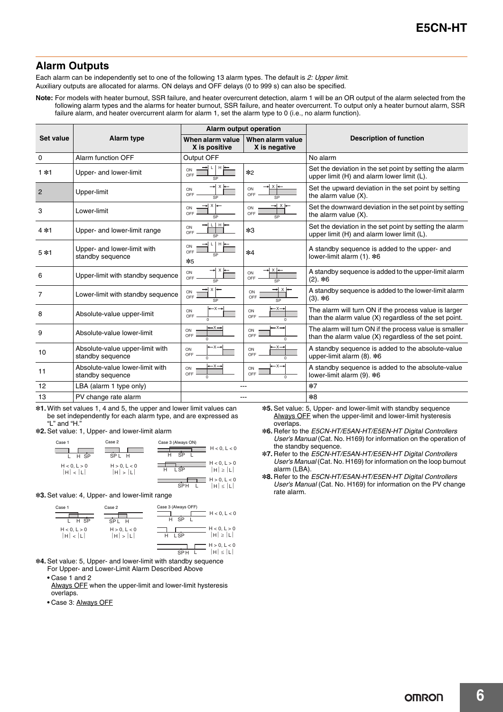## **Alarm Outputs**

Each alarm can be independently set to one of the following 13 alarm types. The default is *2: Upper limit*. Auxiliary outputs are allocated for alarms. ON delays and OFF delays (0 to 999 s) can also be specified.

**Note:** For models with heater burnout, SSR failure, and heater overcurrent detection, alarm 1 will be an OR output of the alarm selected from the following alarm types and the alarms for heater burnout, SSR failure, and heater overcurrent. To output only a heater burnout alarm, SSR failure alarm, and heater overcurrent alarm for alarm 1, set the alarm type to 0 (i.e., no alarm function).

|                  |                                                     | Alarm output operation                                   |                                           |                                                                                                                 |
|------------------|-----------------------------------------------------|----------------------------------------------------------|-------------------------------------------|-----------------------------------------------------------------------------------------------------------------|
| <b>Set value</b> | Alarm type                                          | When alarm value<br>X is positive                        | When alarm value<br>X is negative         | <b>Description of function</b>                                                                                  |
| $\Omega$         | Alarm function OFF                                  | Output OFF                                               |                                           | No alarm                                                                                                        |
| $1*1$            | Upper- and lower-limit                              | $H \rightarrow$<br>ON<br>OFF<br>SP                       | *2                                        | Set the deviation in the set point by setting the alarm<br>upper limit (H) and alarm lower limit (L).           |
| $\overline{2}$   | Upper-limit                                         | $\times$<br>ON<br>OFF<br>SP                              | $x \rightarrow$<br>ON<br>OFF              | Set the upward deviation in the set point by setting<br>the alarm value $(X)$ .                                 |
| 3                | Lower-limit                                         | $x \rightarrow$<br>ON<br>OFF<br>SP                       | → x ←<br>ON<br>OFF<br>SP                  | Set the downward deviation in the set point by setting<br>the alarm value (X).                                  |
| $4*1$            | Upper- and lower-limit range                        | $L$ $H$ $\leftarrow$<br>ON<br>OFF<br>SP                  | $*3$                                      | Set the deviation in the set point by setting the alarm<br>upper limit (H) and alarm lower limit (L).           |
| $5*1$            | Upper- and lower-limit with<br>standby sequence     | $L$ $H$ $\leftarrow$<br>ON<br>OFF<br>SP<br>$*5$          | *4                                        | A standby sequence is added to the upper- and<br>lower-limit alarm (1). *6                                      |
| 6                | Upper-limit with standby sequence                   | ON<br>OFF<br>SP                                          | ON<br>OFF<br>SP                           | A standby sequence is added to the upper-limit alarm<br>$(2).$ *6                                               |
| 7                | Lower-limit with standby sequence                   | $x \rightarrow$<br>ON<br>OFF<br>SP                       | → x ⊱<br>ON<br>OFF<br>SP                  | A standby sequence is added to the lower-limit alarm<br>$(3)$ . *6                                              |
| 8                | Absolute-value upper-limit                          | ON<br>OFF<br>$\overline{0}$                              | –×→<br>ON<br>OFF<br>$\Omega$              | The alarm will turn ON if the process value is larger<br>than the alarm value (X) regardless of the set point.  |
| 9                | Absolute-value lower-limit                          | $\rightarrow x \rightarrow$<br>ON<br>OFF                 | –×→<br>ON<br>OFF                          | The alarm will turn ON if the process value is smaller<br>than the alarm value (X) regardless of the set point. |
| 10               | Absolute-value upper-limit with<br>standby sequence | ON<br>OFF<br>$\Omega$                                    | – x →<br>ON<br>OFF<br>$\Omega$            | A standby sequence is added to the absolute-value<br>upper-limit alarm $(8)$ . $*6$                             |
| 11               | Absolute-value lower-limit with<br>standby sequence | $\leftarrow \times \rightarrow$<br>ON<br>OFF<br>$\Omega$ | $-x \rightarrow$<br>ON<br>OFF<br>$\Omega$ | A standby sequence is added to the absolute-value<br>lower-limit alarm (9). *6                                  |
| 12               | LBA (alarm 1 type only)                             |                                                          |                                           | $*7$                                                                                                            |
| 13               | PV change rate alarm                                |                                                          |                                           | $*8$                                                                                                            |

\*1. With set values 1, 4 and 5, the upper and lower limit values can be set independently for each alarm type, and are expressed as "I " and "H $'$ 

\*2. Set value: 1, Upper- and lower-limit alarm



 $\overline{\text{SPH}}$  L

 $|H| \leq |L|$ 

\*3. Set value: 4, Upper- and lower-limit range



\*4. Set value: 5, Upper- and lower-limit with standby sequence

- For Upper- and Lower-Limit Alarm Described Above **•** Case 1 and 2
- Always OFF when the upper-limit and lower-limit hysteresis overlaps.
- **•** Case 3: Always OFF

\*5. Set value: 5, Upper- and lower-limit with standby sequence Always OFF when the upper-limit and lower-limit hysteresis overlaps.

- \*6. Refer to the *E5CN-HT/E5AN-HT/E5EN-HT Digital Controllers User's Manual* (Cat. No. H169) for information on the operation of the standby sequence.
- \*7. Refer to the *E5CN-HT/E5AN-HT/E5EN-HT Digital Controllers User's Manual* (Cat. No. H169) for information on the loop burnout alarm (LBA).
- \*8. Refer to the *E5CN-HT/E5AN-HT/E5EN-HT Digital Controllers User's Manual* (Cat. No. H169) for information on the PV change rate alarm.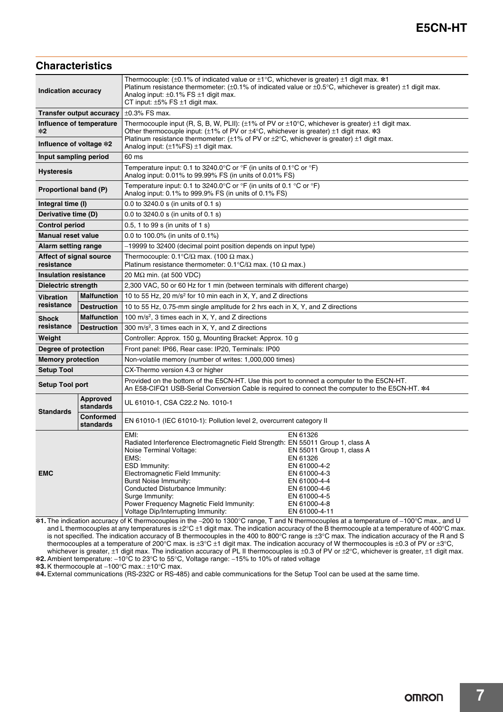## **Characteristics**

| <b>Indication accuracy</b><br><b>Transfer output accuracy</b> |                               | Thermocouple: (±0.1% of indicated value or $\pm$ 1°C, whichever is greater) $\pm$ 1 digit max. *1                                                                                                                                                                                                                                                                                                                                                                                                                            |  |  |
|---------------------------------------------------------------|-------------------------------|------------------------------------------------------------------------------------------------------------------------------------------------------------------------------------------------------------------------------------------------------------------------------------------------------------------------------------------------------------------------------------------------------------------------------------------------------------------------------------------------------------------------------|--|--|
|                                                               |                               | Platinum resistance thermometer: $(\pm 0.1\%$ of indicated value or $\pm 0.5\degree C$ , whichever is greater) $\pm 1$ digit max.                                                                                                                                                                                                                                                                                                                                                                                            |  |  |
|                                                               |                               | Analog input: $\pm 0.1\%$ FS $\pm 1$ digit max.                                                                                                                                                                                                                                                                                                                                                                                                                                                                              |  |  |
|                                                               |                               | CT input: $\pm 5\%$ FS $\pm 1$ digit max.<br>$\pm 0.3\%$ FS max.                                                                                                                                                                                                                                                                                                                                                                                                                                                             |  |  |
|                                                               |                               |                                                                                                                                                                                                                                                                                                                                                                                                                                                                                                                              |  |  |
| $*2$                                                          | Influence of temperature      | Thermocouple input (R, S, B, W, PLII): $(\pm 1\%$ of PV or $\pm 10^{\circ}$ C, whichever is greater) $\pm 1$ digit max.<br>Other thermocouple input: ( $\pm 1\%$ of PV or $\pm 4^{\circ}$ C, whichever is greater) $\pm 1$ digit max. *3                                                                                                                                                                                                                                                                                     |  |  |
| Influence of voltage *2                                       |                               | Platinum resistance thermometer: $(\pm 1\%$ of PV or $\pm 2^{\circ}C$ , whichever is greater) $\pm 1$ digit max.<br>Analog input: $(\pm 1\%$ FS) $\pm 1$ digit max.                                                                                                                                                                                                                                                                                                                                                          |  |  |
| Input sampling period                                         |                               | 60 ms                                                                                                                                                                                                                                                                                                                                                                                                                                                                                                                        |  |  |
| <b>Hysteresis</b>                                             |                               | Temperature input: 0.1 to 3240.0°C or °F (in units of 0.1°C or °F)<br>Analog input: 0.01% to 99.99% FS (in units of 0.01% FS)                                                                                                                                                                                                                                                                                                                                                                                                |  |  |
| Proportional band (P)                                         |                               | Temperature input: 0.1 to 3240.0°C or °F (in units of 0.1 °C or °F)<br>Analog input: 0.1% to 999.9% FS (in units of 0.1% FS)                                                                                                                                                                                                                                                                                                                                                                                                 |  |  |
| Integral time (I)                                             |                               | 0.0 to 3240.0 s (in units of 0.1 s)                                                                                                                                                                                                                                                                                                                                                                                                                                                                                          |  |  |
| Derivative time (D)                                           |                               | 0.0 to 3240.0 s (in units of 0.1 s)                                                                                                                                                                                                                                                                                                                                                                                                                                                                                          |  |  |
| <b>Control period</b>                                         |                               | 0.5, 1 to 99 s (in units of 1 s)                                                                                                                                                                                                                                                                                                                                                                                                                                                                                             |  |  |
| <b>Manual reset value</b>                                     |                               | 0.0 to 100.0% (in units of 0.1%)                                                                                                                                                                                                                                                                                                                                                                                                                                                                                             |  |  |
| Alarm setting range                                           |                               | -19999 to 32400 (decimal point position depends on input type)                                                                                                                                                                                                                                                                                                                                                                                                                                                               |  |  |
| Affect of signal source<br>resistance                         |                               | Thermocouple: $0.1^{\circ}C/\Omega$ max. (100 $\Omega$ max.)<br>Platinum resistance thermometer: 0.1 $\mathrm{C}/\Omega$ max. (10 $\Omega$ max.)                                                                                                                                                                                                                                                                                                                                                                             |  |  |
| <b>Insulation resistance</b>                                  |                               | 20 M $\Omega$ min. (at 500 VDC)                                                                                                                                                                                                                                                                                                                                                                                                                                                                                              |  |  |
| Dielectric strength                                           |                               | 2,300 VAC, 50 or 60 Hz for 1 min (between terminals with different charge)                                                                                                                                                                                                                                                                                                                                                                                                                                                   |  |  |
| <b>Vibration</b>                                              | <b>Malfunction</b>            | 10 to 55 Hz, 20 m/s <sup>2</sup> for 10 min each in X, Y, and Z directions                                                                                                                                                                                                                                                                                                                                                                                                                                                   |  |  |
| resistance                                                    | <b>Destruction</b>            | 10 to 55 Hz, 0.75-mm single amplitude for 2 hrs each in X, Y, and Z directions                                                                                                                                                                                                                                                                                                                                                                                                                                               |  |  |
| <b>Shock</b>                                                  | <b>Malfunction</b>            | 100 m/s <sup>2</sup> , 3 times each in X, Y, and Z directions                                                                                                                                                                                                                                                                                                                                                                                                                                                                |  |  |
| resistance                                                    | <b>Destruction</b>            | 300 m/s <sup>2</sup> , 3 times each in X, Y, and Z directions                                                                                                                                                                                                                                                                                                                                                                                                                                                                |  |  |
| Weight                                                        |                               | Controller: Approx. 150 g, Mounting Bracket: Approx. 10 g                                                                                                                                                                                                                                                                                                                                                                                                                                                                    |  |  |
| Degree of protection                                          |                               | Front panel: IP66, Rear case: IP20, Terminals: IP00                                                                                                                                                                                                                                                                                                                                                                                                                                                                          |  |  |
| <b>Memory protection</b>                                      |                               | Non-volatile memory (number of writes: 1,000,000 times)                                                                                                                                                                                                                                                                                                                                                                                                                                                                      |  |  |
| <b>Setup Tool</b>                                             |                               | CX-Thermo version 4.3 or higher                                                                                                                                                                                                                                                                                                                                                                                                                                                                                              |  |  |
| <b>Setup Tool port</b>                                        |                               | Provided on the bottom of the E5CN-HT. Use this port to connect a computer to the E5CN-HT.<br>An E58-CIFQ1 USB-Serial Conversion Cable is required to connect the computer to the E5CN-HT. *4                                                                                                                                                                                                                                                                                                                                |  |  |
| <b>Standards</b>                                              | Approved<br>standards         | UL 61010-1, CSA C22.2 No. 1010-1                                                                                                                                                                                                                                                                                                                                                                                                                                                                                             |  |  |
|                                                               | <b>Conformed</b><br>standards | EN 61010-1 (IEC 61010-1): Pollution level 2, overcurrent category II                                                                                                                                                                                                                                                                                                                                                                                                                                                         |  |  |
| <b>EMC</b>                                                    |                               | EMI:<br>EN 61326<br>Radiated Interference Electromagnetic Field Strength: EN 55011 Group 1, class A<br>Noise Terminal Voltage:<br>EN 55011 Group 1, class A<br>EMS:<br>EN 61326<br>ESD Immunity:<br>EN 61000-4-2<br>Electromagnetic Field Immunity:<br>EN 61000-4-3<br><b>Burst Noise Immunity:</b><br>EN 61000-4-4<br>Conducted Disturbance Immunity:<br>EN 61000-4-6<br>Surge Immunity:<br>EN 61000-4-5<br>Power Frequency Magnetic Field Immunity:<br>EN 61000-4-8<br>Voltage Dip/Interrupting Immunity:<br>EN 61000-4-11 |  |  |

\*1. The indication accuracy of K thermocouples in the −200 to 1300°C range, T and N thermocouples at a temperature of −100°C max., and U and L thermocouples at any temperatures is  $\pm 2^{\circ}C \pm 1$  digit max. The indication accuracy of the B thermocouple at a temperature of 400°C max. is not specified. The indication accuracy of B thermocouples in the 400 to 800°C range is ±3°C max. The indication accuracy of the R and S thermocouples at a temperature of 200°C max. is ±3°C ±1 digit max. The indication accuracy of W thermocouples is ±0.3 of PV or ±3°C, whichever is greater, ±1 digit max. The indication accuracy of PL II thermocouples is ±0.3 of PV or ±2°C, whichever is greater, ±1 digit max. \*2. Ambient temperature: −10°C to 23°C to 55°C, Voltage range: −15% to 10% of rated voltage

\*3. K thermocouple at −100°C max.: ±10°C max.

\*4. External communications (RS-232C or RS-485) and cable communications for the Setup Tool can be used at the same time.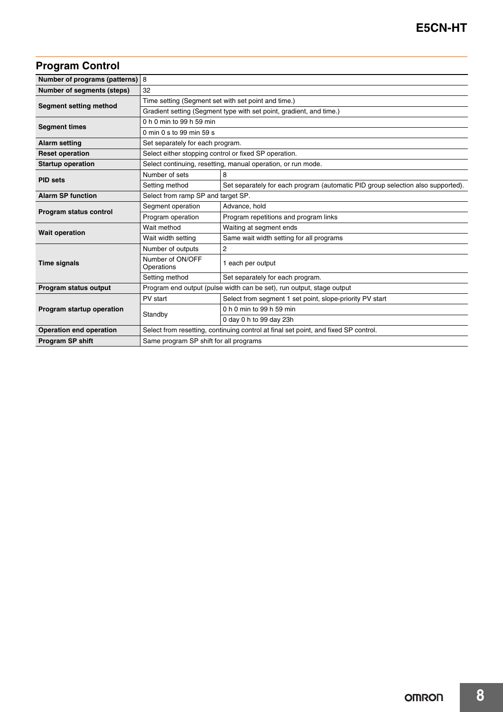## **Program Control**

| Number of programs (patterns) 8                                                                |                                                                                     |                                                                                 |  |
|------------------------------------------------------------------------------------------------|-------------------------------------------------------------------------------------|---------------------------------------------------------------------------------|--|
| Number of segments (steps)                                                                     | 32                                                                                  |                                                                                 |  |
| Segment setting method                                                                         | Time setting (Segment set with set point and time.)                                 |                                                                                 |  |
|                                                                                                | Gradient setting (Segment type with set point, gradient, and time.)                 |                                                                                 |  |
|                                                                                                | 0 h 0 min to 99 h 59 min                                                            |                                                                                 |  |
| <b>Segment times</b>                                                                           | 0 min 0 s to 99 min 59 s                                                            |                                                                                 |  |
| <b>Alarm setting</b>                                                                           | Set separately for each program.                                                    |                                                                                 |  |
| <b>Reset operation</b>                                                                         | Select either stopping control or fixed SP operation.                               |                                                                                 |  |
| <b>Startup operation</b>                                                                       | Select continuing, resetting, manual operation, or run mode.                        |                                                                                 |  |
| <b>PID</b> sets                                                                                | Number of sets                                                                      | 8                                                                               |  |
|                                                                                                | Setting method                                                                      | Set separately for each program (automatic PID group selection also supported). |  |
| <b>Alarm SP function</b>                                                                       | Select from ramp SP and target SP.                                                  |                                                                                 |  |
|                                                                                                | Segment operation                                                                   | Advance, hold                                                                   |  |
| Program status control                                                                         | Program operation                                                                   | Program repetitions and program links                                           |  |
|                                                                                                | Wait method                                                                         | Waiting at segment ends                                                         |  |
| <b>Wait operation</b>                                                                          | Wait width setting                                                                  | Same wait width setting for all programs                                        |  |
|                                                                                                | Number of outputs                                                                   | 2                                                                               |  |
| <b>Time signals</b>                                                                            | Number of ON/OFF<br>Operations                                                      | 1 each per output                                                               |  |
|                                                                                                | Setting method                                                                      | Set separately for each program.                                                |  |
| Program status output<br>Program end output (pulse width can be set), run output, stage output |                                                                                     |                                                                                 |  |
|                                                                                                | PV start                                                                            | Select from segment 1 set point, slope-priority PV start                        |  |
| Program startup operation                                                                      | Standby                                                                             | 0 h 0 min to 99 h 59 min                                                        |  |
|                                                                                                |                                                                                     | 0 day 0 h to 99 day 23h                                                         |  |
| <b>Operation end operation</b>                                                                 | Select from resetting, continuing control at final set point, and fixed SP control. |                                                                                 |  |
| <b>Program SP shift</b><br>Same program SP shift for all programs                              |                                                                                     |                                                                                 |  |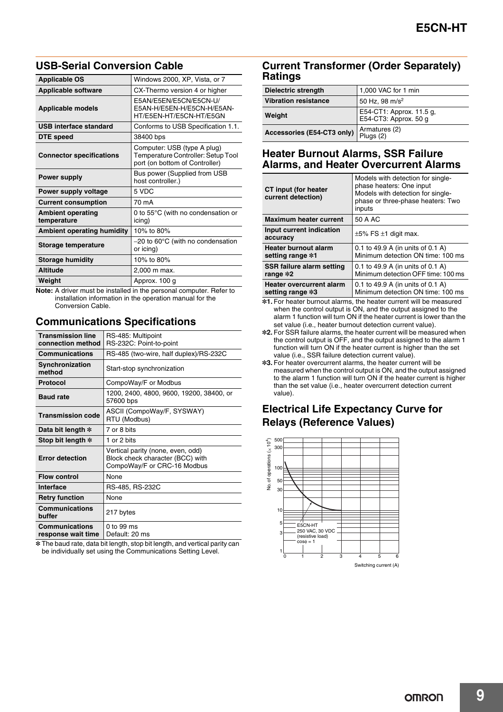## **USB-Serial Conversion Cable**

| <b>Applicable OS</b>                    | Windows 2000, XP, Vista, or 7                                                                       |
|-----------------------------------------|-----------------------------------------------------------------------------------------------------|
| <b>Applicable software</b>              | CX-Thermo version 4 or higher                                                                       |
| <b>Applicable models</b>                | E5AN/E5EN/E5CN/E5CN-U/<br>E5AN-H/E5EN-H/E5CN-H/E5AN-<br>HT/E5EN-HT/E5CN-HT/E5GN                     |
| USB interface standard                  | Conforms to USB Specification 1.1.                                                                  |
| DTE speed                               | 38400 bps                                                                                           |
| <b>Connector specifications</b>         | Computer: USB (type A plug)<br>Temperature Controller: Setup Tool<br>port (on bottom of Controller) |
| <b>Power supply</b>                     | Bus power (Supplied from USB<br>host controller.)                                                   |
| Power supply voltage                    | 5 VDC                                                                                               |
| <b>Current consumption</b>              | 70 mA                                                                                               |
| <b>Ambient operating</b><br>temperature | 0 to $55^{\circ}$ C (with no condensation or<br>icing)                                              |
| <b>Ambient operating humidity</b>       | 10% to 80%                                                                                          |
| Storage temperature                     | $-20$ to 60 $\degree$ C (with no condensation<br>or icing)                                          |
| <b>Storage humidity</b>                 | 10% to 80%                                                                                          |
| <b>Altitude</b>                         | 2,000 m max.                                                                                        |
| Weight                                  | Approx. 100 g                                                                                       |

**Note:** A driver must be installed in the personal computer. Refer to installation information in the operation manual for the Conversion Cable.

## **Communications Specifications**

| <b>Transmission line</b><br>connection method | RS-485: Multipoint<br>RS-232C: Point-to-point                                                        |
|-----------------------------------------------|------------------------------------------------------------------------------------------------------|
| <b>Communications</b>                         | RS-485 (two-wire, half duplex)/RS-232C                                                               |
| Synchronization<br>method                     | Start-stop synchronization                                                                           |
| <b>Protocol</b>                               | CompoWay/F or Modbus                                                                                 |
| <b>Baud rate</b>                              | 1200, 2400, 4800, 9600, 19200, 38400, or<br>57600 bps                                                |
| <b>Transmission code</b>                      | ASCII (CompoWay/F, SYSWAY)<br>RTU (Modbus)                                                           |
| Data bit length *                             | 7 or 8 bits                                                                                          |
| Stop bit length *                             | 1 or 2 bits                                                                                          |
| <b>Error detection</b>                        | Vertical parity (none, even, odd)<br>Block check character (BCC) with<br>CompoWay/F or CRC-16 Modbus |
| <b>Flow control</b>                           | None                                                                                                 |
| Interface                                     | RS-485, RS-232C                                                                                      |
| <b>Retry function</b>                         | None                                                                                                 |
| <b>Communications</b><br>buffer               | 217 bytes                                                                                            |
| <b>Communications</b><br>response wait time   | $0$ to 99 ms<br>Default: 20 ms                                                                       |

\* The baud rate, data bit length, stop bit length, and vertical parity can be individually set using the Communications Setting Level.

## **Current Transformer (Order Separately) Ratings**

| <b>Dielectric strength</b>  | 1,000 VAC for 1 min                               |
|-----------------------------|---------------------------------------------------|
| <b>Vibration resistance</b> | 50 Hz, 98 m/s <sup>2</sup>                        |
| Weight                      | E54-CT1: Approx. 11.5 g,<br>E54-CT3: Approx. 50 g |
| Accessories (E54-CT3 only)  | Armatures (2)<br>Plugs (2)                        |

## **Heater Burnout Alarms, SSR Failure Alarms, and Heater Overcurrent Alarms**

| CT input (for heater<br>current detection) | Models with detection for single-<br>phase heaters: One input<br>Models with detection for single-<br>phase or three-phase heaters: Two<br>inputs |
|--------------------------------------------|---------------------------------------------------------------------------------------------------------------------------------------------------|
| <b>Maximum heater current</b>              | 50 A AC                                                                                                                                           |
| Input current indication<br>accuracy       | $\pm 5\%$ FS $\pm 1$ digit max.                                                                                                                   |
| <b>Heater burnout alarm</b>                | 0.1 to 49.9 A (in units of 0.1 A)                                                                                                                 |
| setting range *1                           | Minimum detection ON time: 100 ms                                                                                                                 |
| SSR failure alarm setting                  | 0.1 to 49.9 A (in units of 0.1 A)                                                                                                                 |
| range *2                                   | Minimum detection OFF time: 100 ms                                                                                                                |
| <b>Heater overcurrent alarm</b>            | 0.1 to 49.9 A (in units of 0.1 A)                                                                                                                 |
| setting range *3                           | Minimum detection ON time: 100 ms                                                                                                                 |

\*1. For heater burnout alarms, the heater current will be measured when the control output is ON, and the output assigned to the alarm 1 function will turn ON if the heater current is lower than the set value (i.e., heater burnout detection current value).

- \*2. For SSR failure alarms, the heater current will be measured when the control output is OFF, and the output assigned to the alarm 1 function will turn ON if the heater current is higher than the set value (i.e., SSR failure detection current value).
- \*3. For heater overcurrent alarms, the heater current will be measured when the control output is ON, and the output assigned to the alarm 1 function will turn ON if the heater current is higher than the set value (i.e., heater overcurrent detection current value).

## **Electrical Life Expectancy Curve for Relays (Reference Values)**

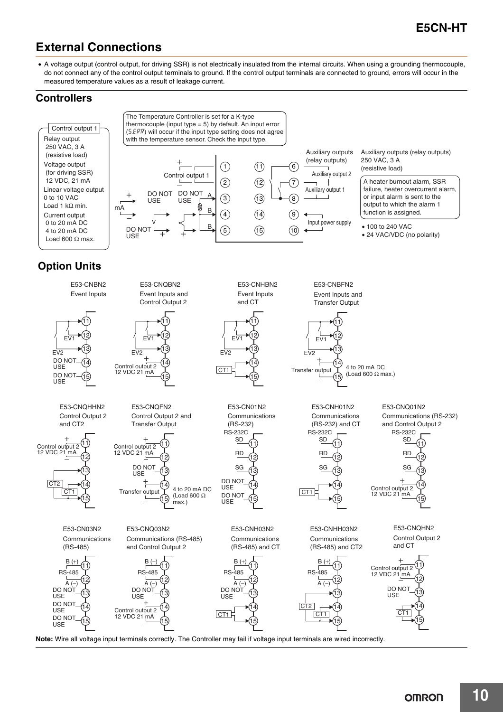## **External Connections**

• A voltage output (control output, for driving SSR) is not electrically insulated from the internal circuits. When using a grounding thermocouple, do not connect any of the control output terminals to ground. If the control output terminals are connected to ground, errors will occur in the measured temperature values as a result of leakage current.

## **Controllers**

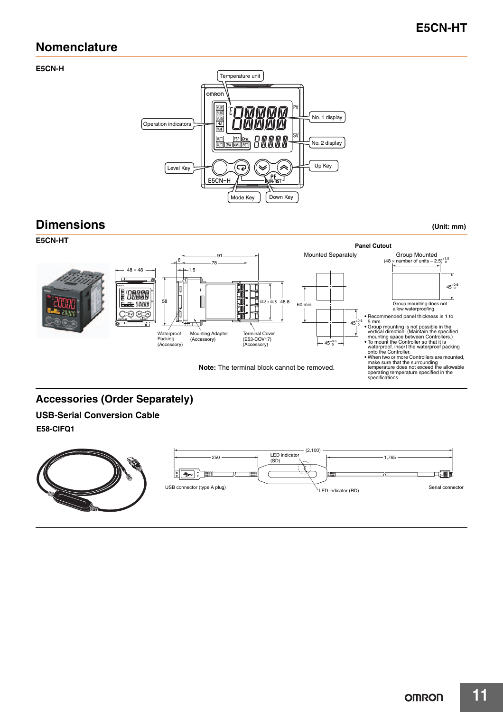## **Nomenclature**

#### **E5CN-H**



## **Dimensions (Unit: mm)**



## **Accessories (Order Separately)**

# **USB-Serial Conversion Cable**

**E58-CIFQ1**

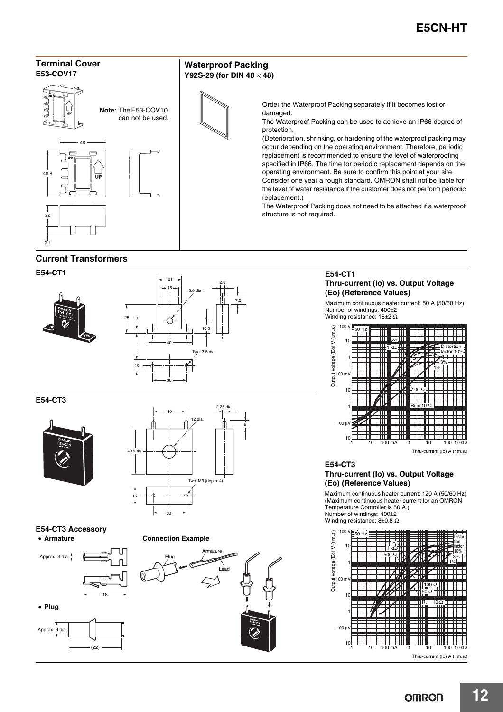

#### **E54-CT1**





**E54-CT3**

![](_page_11_Picture_7.jpeg)

![](_page_11_Figure_8.jpeg)

**E54-CT3 Accessory** • **Armature**

![](_page_11_Figure_10.jpeg)

![](_page_11_Figure_11.jpeg)

![](_page_11_Picture_12.jpeg)

**E54-CT1 Thru-current (Io) vs. Output Voltage (Eo) (Reference Values)**

Maximum continuous heater current: 50 A (50/60 Hz) Number of windings: 400±2 Winding resistance: 18±2 Ω

![](_page_11_Figure_15.jpeg)

Thru-current (Io) A (r.m.s.)

#### **E54-CT3 Thru-current (Io) vs. Output Voltage (Eo) (Reference Values)**

Maximum continuous heater current: 120 A (50/60 Hz) (Maximum continuous heater current for an OMRON Temperature Controller is 50 A.) Number of windings: 400±2 Winding resistance: 8±0.8 Ω

![](_page_11_Figure_19.jpeg)

Thru-current (Io) A (r.m.s.)